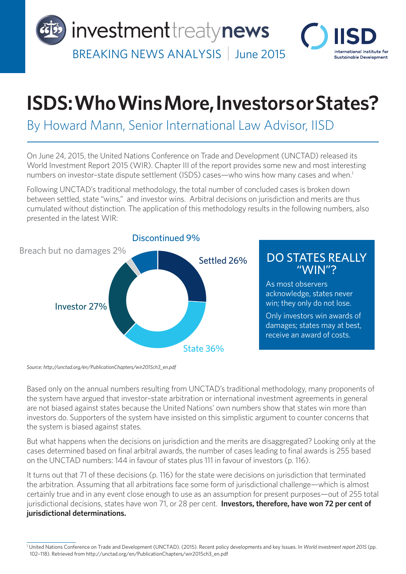

## **ISDS: Who Wins More, Investors or States?**

## By Howard Mann, Senior International Law Advisor, IISD

On June 24, 2015, the United Nations Conference on Trade and Development (UNCTAD) released its World Investment Report 2015 (WIR). Chapter III of the report provides some new and most interesting numbers on investor-state dispute settlement (ISDS) cases—who wins how many cases and when.<sup>1</sup>

Following UNCTAD's traditional methodology, the total number of concluded cases is broken down between settled, state "wins," and investor wins. Arbitral decisions on jurisdiction and merits are thus cumulated without distinction. The application of this methodology results in the following numbers, also presented in the latest WIR:



*Source: http://unctad.org/en/PublicationChapters/wir2015ch3\_en.pdf*

Based only on the annual numbers resulting from UNCTAD's traditional methodology, many proponents of the system have argued that investor–state arbitration or international investment agreements in general are not biased against states because the United Nations' own numbers show that states win more than investors do. Supporters of the system have insisted on this simplistic argument to counter concerns that the system is biased against states.

But what happens when the decisions on jurisdiction and the merits are disaggregated? Looking only at the cases determined based on final arbitral awards, the number of cases leading to final awards is 255 based on the UNCTAD numbers: 144 in favour of states plus 111 in favour of investors (p. 116).

It turns out that 71 of these decisions (p. 116) for the state were decisions on jurisdiction that terminated the arbitration. Assuming that all arbitrations face some form of jurisdictional challenge—which is almost certainly true and in any event close enough to use as an assumption for present purposes—out of 255 total jurisdictional decisions, states have won 71, or 28 per cent. **Investors, therefore, have won 72 per cent of jurisdictional determinations.** 

<sup>&</sup>lt;sup>1</sup> United Nations Conference on Trade and Development (UNCTAD). (2015). Recent policy developments and key Issues. In *World investment report 2015* (pp. 102–118). Retrieved from http://unctad.org/en/PublicationChapters/wir2015ch3\_en.pdf